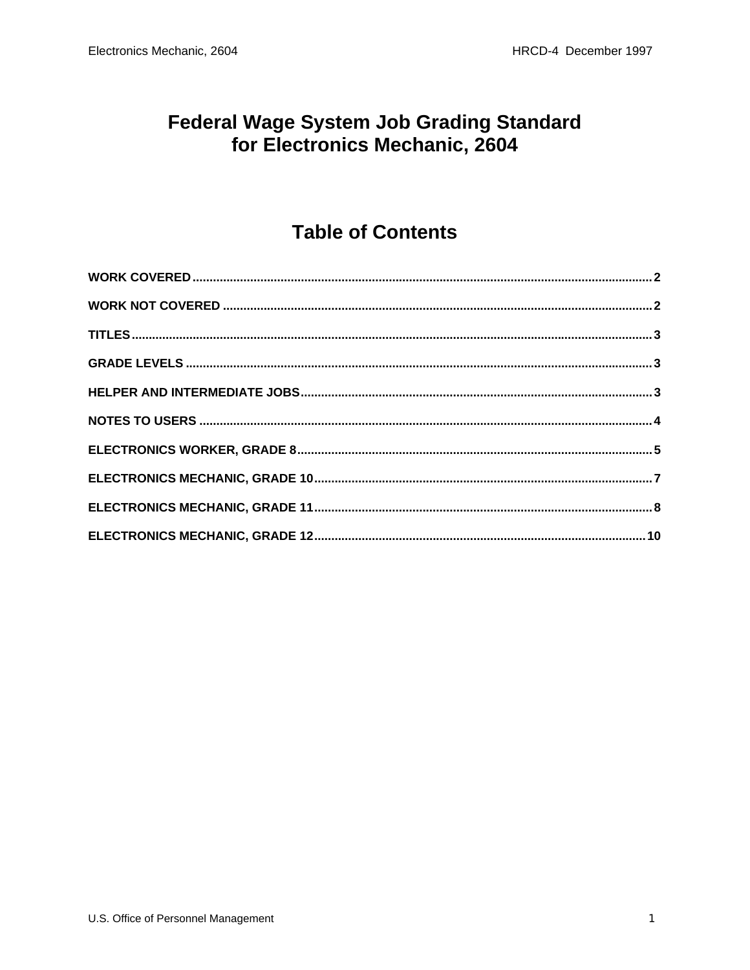#### **Federal Wage System Job Grading Standard** for Electronics Mechanic, 2604

#### **Table of Contents**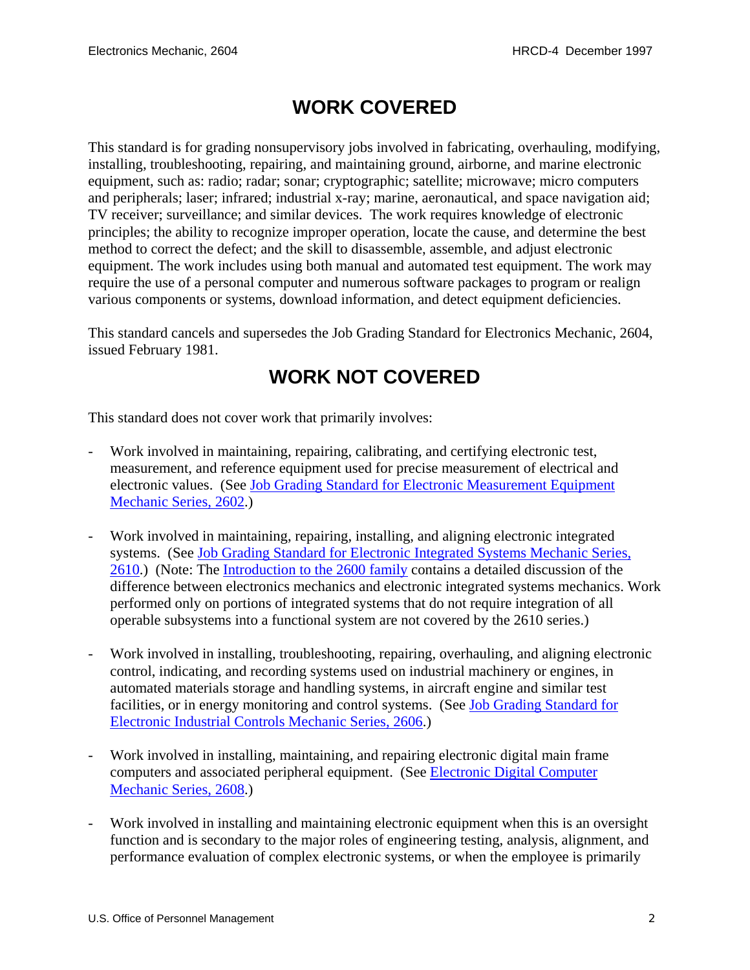## **WORK COVERED**

<span id="page-1-0"></span>This standard is for grading nonsupervisory jobs involved in fabricating, overhauling, modifying, installing, troubleshooting, repairing, and maintaining ground, airborne, and marine electronic equipment, such as: radio; radar; sonar; cryptographic; satellite; microwave; micro computers and peripherals; laser; infrared; industrial x-ray; marine, aeronautical, and space navigation aid; TV receiver; surveillance; and similar devices. The work requires knowledge of electronic principles; the ability to recognize improper operation, locate the cause, and determine the best method to correct the defect; and the skill to disassemble, assemble, and adjust electronic equipment. The work includes using both manual and automated test equipment. The work may require the use of a personal computer and numerous software packages to program or realign various components or systems, download information, and detect equipment deficiencies.

This standard cancels and supersedes the Job Grading Standard for Electronics Mechanic, 2604, issued February 1981.

#### **WORK NOT COVERED**

This standard does not cover work that primarily involves:

- Work involved in maintaining, repairing, calibrating, and certifying electronic test, measurement, and reference equipment used for precise measurement of electrical and electronic values. (See Job Grading Standard for Electronic Measurement Equipment Mechanic Series, 2602.)
- Work involved in maintaining, repairing, installing, and aligning electronic integrated systems. (See Job Grading Standard for Electronic Integrated Systems Mechanic Series, 2610.) (Note: The Introduction to the 2600 family contains a detailed discussion of the difference between electronics mechanics and electronic integrated systems mechanics. Work performed only on portions of integrated systems that do not require integration of all operable subsystems into a functional system are not covered by the 2610 series.)
- Work involved in installing, troubleshooting, repairing, overhauling, and aligning electronic control, indicating, and recording systems used on industrial machinery or engines, in automated materials storage and handling systems, in aircraft engine and similar test facilities, or in energy monitoring and control systems. (See Job Grading Standard for Electronic Industrial Controls Mechanic Series, 2606.)
- Work involved in installing, maintaining, and repairing electronic digital main frame computers and associated peripheral equipment. (See Electronic Digital Computer Mechanic Series, 2608.)
- Work involved in installing and maintaining electronic equipment when this is an oversight function and is secondary to the major roles of engineering testing, analysis, alignment, and performance evaluation of complex electronic systems, or when the employee is primarily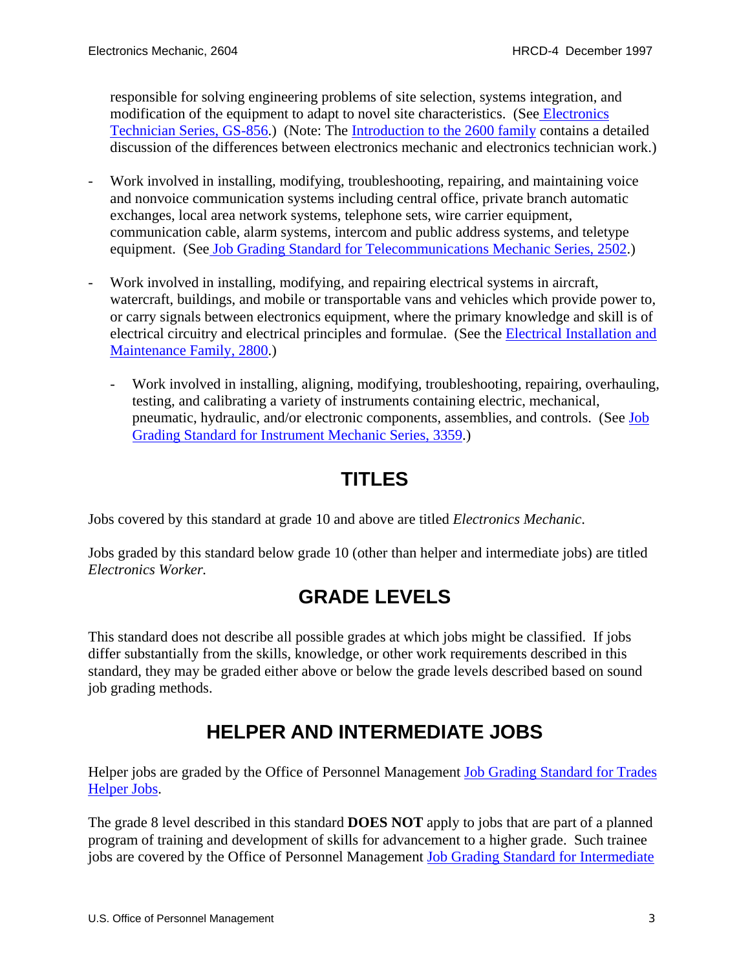<span id="page-2-0"></span>responsible for solving engineering problems of site selection, systems integration, and modification of the equipment to adapt to novel site characteristics. (See Electronics Technician Series, GS-856.) (Note: The Introduction to the 2600 family contains a detailed discussion of the differences between electronics mechanic and electronics technician work.)

- Work involved in installing, modifying, troubleshooting, repairing, and maintaining voice and nonvoice communication systems including central office, private branch automatic exchanges, local area network systems, telephone sets, wire carrier equipment, communication cable, alarm systems, intercom and public address systems, and teletype equipment. (See Job Grading Standard for Telecommunications Mechanic Series, 2502.)
- Work involved in installing, modifying, and repairing electrical systems in aircraft, watercraft, buildings, and mobile or transportable vans and vehicles which provide power to, or carry signals between electronics equipment, where the primary knowledge and skill is of electrical circuitry and electrical principles and formulae. (See the Electrical Installation and Maintenance Family, 2800.)
	- Work involved in installing, aligning, modifying, troubleshooting, repairing, overhauling, testing, and calibrating a variety of instruments containing electric, mechanical, pneumatic, hydraulic, and/or electronic components, assemblies, and controls. (See Job Grading Standard for Instrument Mechanic Series, 3359.)

# **TITLES**

Jobs covered by this standard at grade 10 and above are titled *Electronics Mechanic*.

Jobs graded by this standard below grade 10 (other than helper and intermediate jobs) are titled *Electronics Worker.*

#### **GRADE LEVELS**

This standard does not describe all possible grades at which jobs might be classified. If jobs differ substantially from the skills, knowledge, or other work requirements described in this standard, they may be graded either above or below the grade levels described based on sound job grading methods.

# **HELPER AND INTERMEDIATE JOBS**

Helper jobs are graded by the Office of Personnel Management Job Grading Standard for Trades Helper Jobs.

The grade 8 level described in this standard **DOES NOT** apply to jobs that are part of a planned program of training and development of skills for advancement to a higher grade. Such trainee jobs are covered by the Office of Personnel Management Job Grading Standard for Intermediate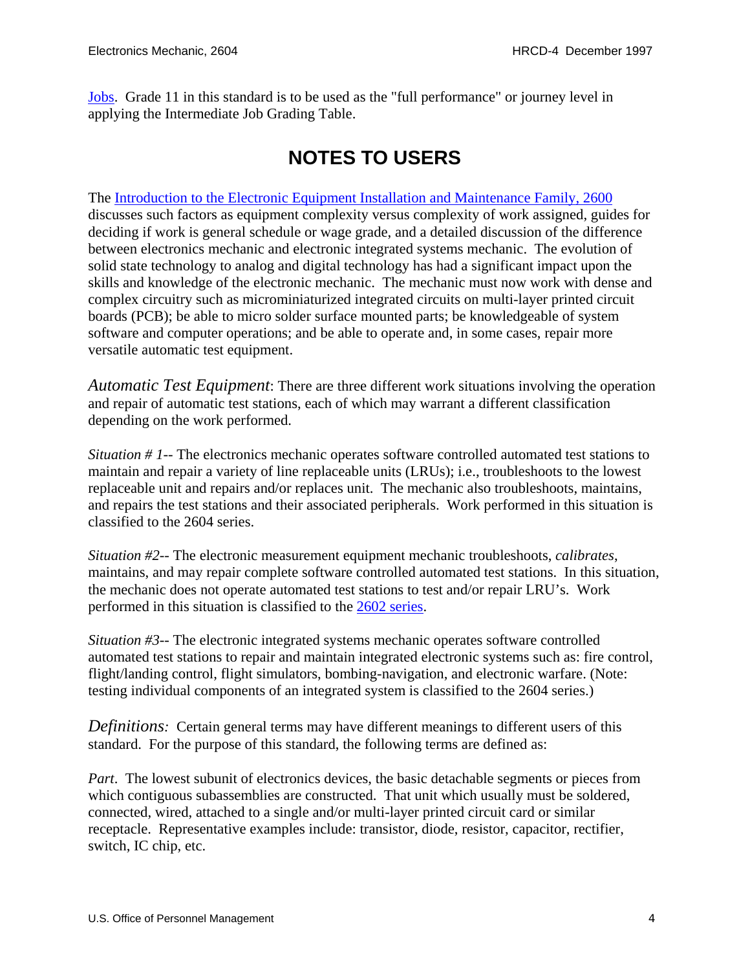<span id="page-3-0"></span>Jobs. Grade 11 in this standard is to be used as the "full performance" or journey level in applying the Intermediate Job Grading Table.

## **NOTES TO USERS**

The Introduction to the Electronic Equipment Installation and Maintenance Family, 2600 discusses such factors as equipment complexity versus complexity of work assigned, guides for deciding if work is general schedule or wage grade, and a detailed discussion of the difference between electronics mechanic and electronic integrated systems mechanic. The evolution of solid state technology to analog and digital technology has had a significant impact upon the skills and knowledge of the electronic mechanic. The mechanic must now work with dense and complex circuitry such as microminiaturized integrated circuits on multi-layer printed circuit boards (PCB); be able to micro solder surface mounted parts; be knowledgeable of system software and computer operations; and be able to operate and, in some cases, repair more versatile automatic test equipment.

*Automatic Test Equipment*: There are three different work situations involving the operation and repair of automatic test stations, each of which may warrant a different classification depending on the work performed.

*Situation # 1*-- The electronics mechanic operates software controlled automated test stations to maintain and repair a variety of line replaceable units (LRUs); i.e., troubleshoots to the lowest replaceable unit and repairs and/or replaces unit. The mechanic also troubleshoots, maintains, and repairs the test stations and their associated peripherals. Work performed in this situation is classified to the 2604 series.

*Situation #2*-- The electronic measurement equipment mechanic troubleshoots, *calibrates*, maintains, and may repair complete software controlled automated test stations. In this situation, the mechanic does not operate automated test stations to test and/or repair LRU's. Work performed in this situation is classified to the 2602 series.

*Situation #3*-- The electronic integrated systems mechanic operates software controlled automated test stations to repair and maintain integrated electronic systems such as: fire control, flight/landing control, flight simulators, bombing-navigation, and electronic warfare. (Note: testing individual components of an integrated system is classified to the 2604 series.)

*Definitions:* Certain general terms may have different meanings to different users of this standard. For the purpose of this standard, the following terms are defined as:

*Part*. The lowest subunit of electronics devices, the basic detachable segments or pieces from which contiguous subassemblies are constructed. That unit which usually must be soldered, connected, wired, attached to a single and/or multi-layer printed circuit card or similar receptacle. Representative examples include: transistor, diode, resistor, capacitor, rectifier, switch, IC chip, etc.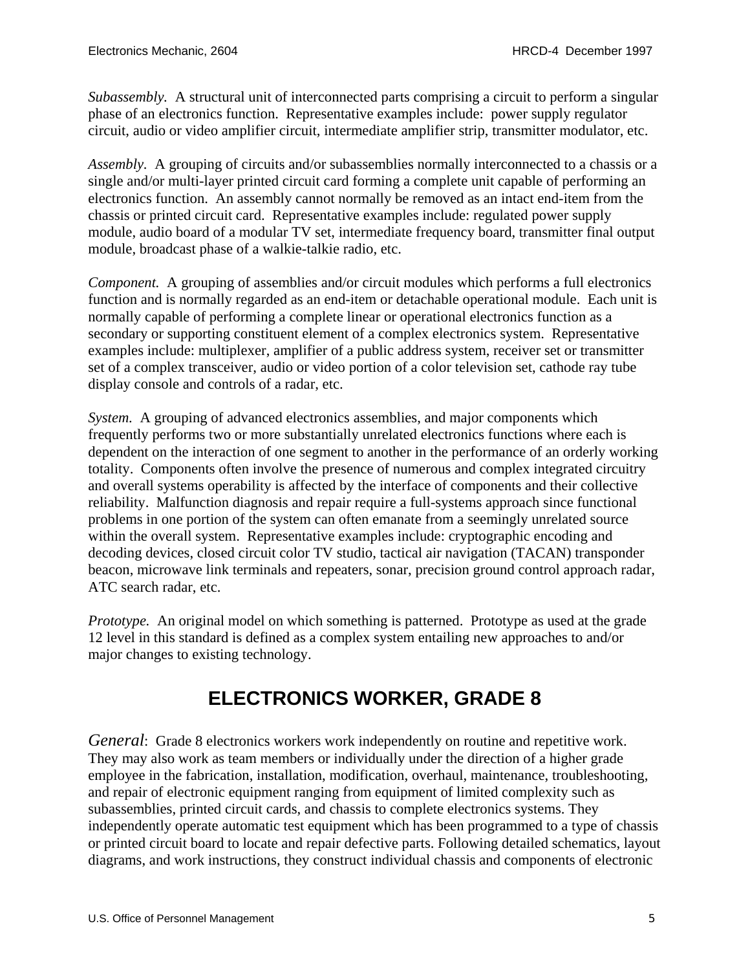<span id="page-4-0"></span>*Subassembly.* A structural unit of interconnected parts comprising a circuit to perform a singular phase of an electronics function. Representative examples include: power supply regulator circuit, audio or video amplifier circuit, intermediate amplifier strip, transmitter modulator, etc.

*Assembly.* A grouping of circuits and/or subassemblies normally interconnected to a chassis or a single and/or multi-layer printed circuit card forming a complete unit capable of performing an electronics function. An assembly cannot normally be removed as an intact end-item from the chassis or printed circuit card. Representative examples include: regulated power supply module, audio board of a modular TV set, intermediate frequency board, transmitter final output module, broadcast phase of a walkie-talkie radio, etc.

*Component.* A grouping of assemblies and/or circuit modules which performs a full electronics function and is normally regarded as an end-item or detachable operational module. Each unit is normally capable of performing a complete linear or operational electronics function as a secondary or supporting constituent element of a complex electronics system. Representative examples include: multiplexer, amplifier of a public address system, receiver set or transmitter set of a complex transceiver, audio or video portion of a color television set, cathode ray tube display console and controls of a radar, etc.

*System.* A grouping of advanced electronics assemblies, and major components which frequently performs two or more substantially unrelated electronics functions where each is dependent on the interaction of one segment to another in the performance of an orderly working totality. Components often involve the presence of numerous and complex integrated circuitry and overall systems operability is affected by the interface of components and their collective reliability. Malfunction diagnosis and repair require a full-systems approach since functional problems in one portion of the system can often emanate from a seemingly unrelated source within the overall system. Representative examples include: cryptographic encoding and decoding devices, closed circuit color TV studio, tactical air navigation (TACAN) transponder beacon, microwave link terminals and repeaters, sonar, precision ground control approach radar, ATC search radar, etc.

*Prototype.* An original model on which something is patterned. Prototype as used at the grade 12 level in this standard is defined as a complex system entailing new approaches to and/or major changes to existing technology.

# **ELECTRONICS WORKER, GRADE 8**

*General*: Grade 8 electronics workers work independently on routine and repetitive work. They may also work as team members or individually under the direction of a higher grade employee in the fabrication, installation, modification, overhaul, maintenance, troubleshooting, and repair of electronic equipment ranging from equipment of limited complexity such as subassemblies, printed circuit cards, and chassis to complete electronics systems. They independently operate automatic test equipment which has been programmed to a type of chassis or printed circuit board to locate and repair defective parts. Following detailed schematics, layout diagrams, and work instructions, they construct individual chassis and components of electronic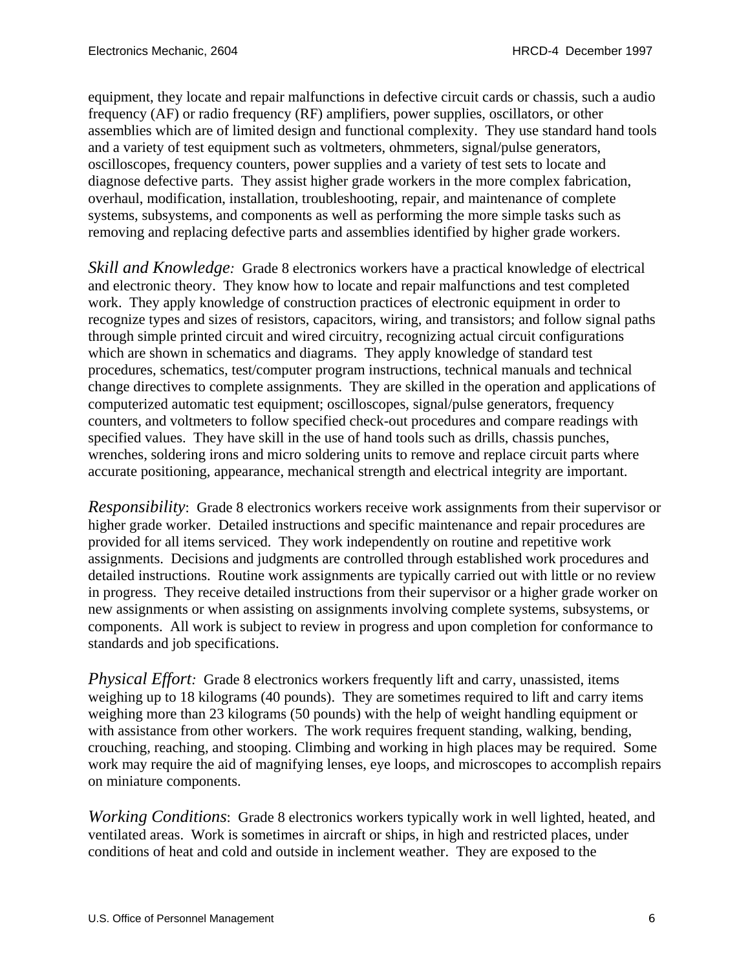equipment, they locate and repair malfunctions in defective circuit cards or chassis, such a audio frequency (AF) or radio frequency (RF) amplifiers, power supplies, oscillators, or other assemblies which are of limited design and functional complexity. They use standard hand tools and a variety of test equipment such as voltmeters, ohmmeters, signal/pulse generators, oscilloscopes, frequency counters, power supplies and a variety of test sets to locate and diagnose defective parts. They assist higher grade workers in the more complex fabrication, overhaul, modification, installation, troubleshooting, repair, and maintenance of complete systems, subsystems, and components as well as performing the more simple tasks such as removing and replacing defective parts and assemblies identified by higher grade workers.

*Skill and Knowledge:* Grade 8 electronics workers have a practical knowledge of electrical and electronic theory. They know how to locate and repair malfunctions and test completed work. They apply knowledge of construction practices of electronic equipment in order to recognize types and sizes of resistors, capacitors, wiring, and transistors; and follow signal paths through simple printed circuit and wired circuitry, recognizing actual circuit configurations which are shown in schematics and diagrams. They apply knowledge of standard test procedures, schematics, test/computer program instructions, technical manuals and technical change directives to complete assignments. They are skilled in the operation and applications of computerized automatic test equipment; oscilloscopes, signal/pulse generators, frequency counters, and voltmeters to follow specified check-out procedures and compare readings with specified values. They have skill in the use of hand tools such as drills, chassis punches, wrenches, soldering irons and micro soldering units to remove and replace circuit parts where accurate positioning, appearance, mechanical strength and electrical integrity are important.

*Responsibility*: Grade 8 electronics workers receive work assignments from their supervisor or higher grade worker. Detailed instructions and specific maintenance and repair procedures are provided for all items serviced. They work independently on routine and repetitive work assignments. Decisions and judgments are controlled through established work procedures and detailed instructions. Routine work assignments are typically carried out with little or no review in progress. They receive detailed instructions from their supervisor or a higher grade worker on new assignments or when assisting on assignments involving complete systems, subsystems, or components. All work is subject to review in progress and upon completion for conformance to standards and job specifications.

*Physical Effort:* Grade 8 electronics workers frequently lift and carry, unassisted, items weighing up to 18 kilograms (40 pounds). They are sometimes required to lift and carry items weighing more than 23 kilograms (50 pounds) with the help of weight handling equipment or with assistance from other workers. The work requires frequent standing, walking, bending, crouching, reaching, and stooping. Climbing and working in high places may be required. Some work may require the aid of magnifying lenses, eye loops, and microscopes to accomplish repairs on miniature components.

*Working Conditions*: Grade 8 electronics workers typically work in well lighted, heated, and ventilated areas. Work is sometimes in aircraft or ships, in high and restricted places, under conditions of heat and cold and outside in inclement weather. They are exposed to the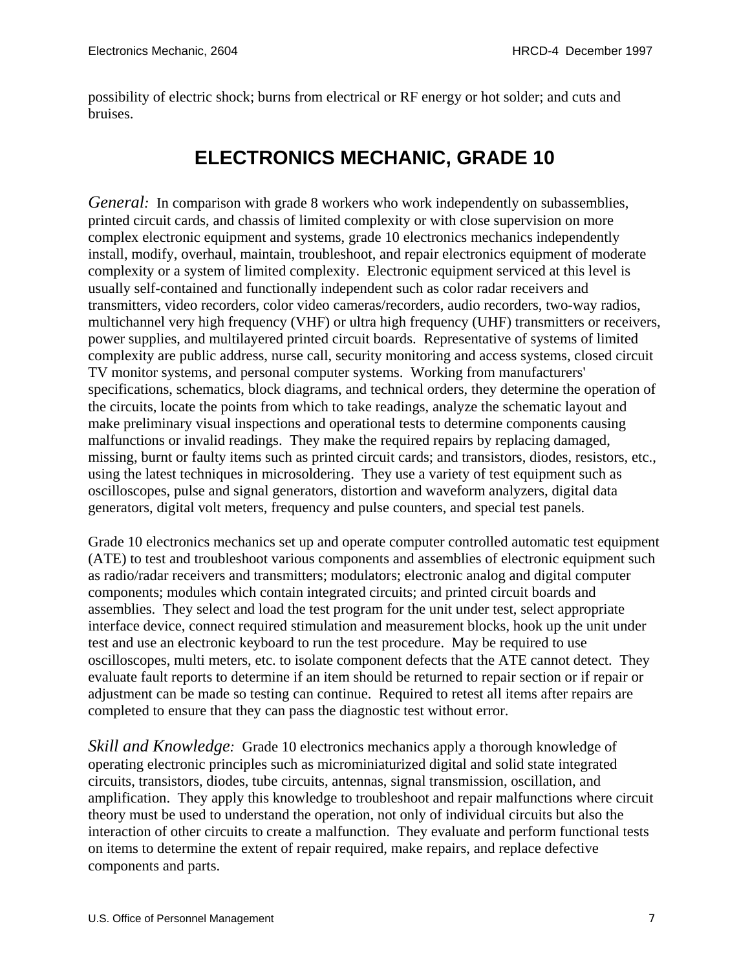<span id="page-6-0"></span>possibility of electric shock; burns from electrical or RF energy or hot solder; and cuts and bruises.

#### **ELECTRONICS MECHANIC, GRADE 10**

*General:* In comparison with grade 8 workers who work independently on subassemblies, printed circuit cards, and chassis of limited complexity or with close supervision on more complex electronic equipment and systems, grade 10 electronics mechanics independently install, modify, overhaul, maintain, troubleshoot, and repair electronics equipment of moderate complexity or a system of limited complexity. Electronic equipment serviced at this level is usually self-contained and functionally independent such as color radar receivers and transmitters, video recorders, color video cameras/recorders, audio recorders, two-way radios, multichannel very high frequency (VHF) or ultra high frequency (UHF) transmitters or receivers, power supplies, and multilayered printed circuit boards. Representative of systems of limited complexity are public address, nurse call, security monitoring and access systems, closed circuit TV monitor systems, and personal computer systems. Working from manufacturers' specifications, schematics, block diagrams, and technical orders, they determine the operation of the circuits, locate the points from which to take readings, analyze the schematic layout and make preliminary visual inspections and operational tests to determine components causing malfunctions or invalid readings. They make the required repairs by replacing damaged, missing, burnt or faulty items such as printed circuit cards; and transistors, diodes, resistors, etc., using the latest techniques in microsoldering. They use a variety of test equipment such as oscilloscopes, pulse and signal generators, distortion and waveform analyzers, digital data generators, digital volt meters, frequency and pulse counters, and special test panels.

Grade 10 electronics mechanics set up and operate computer controlled automatic test equipment (ATE) to test and troubleshoot various components and assemblies of electronic equipment such as radio/radar receivers and transmitters; modulators; electronic analog and digital computer components; modules which contain integrated circuits; and printed circuit boards and assemblies. They select and load the test program for the unit under test, select appropriate interface device, connect required stimulation and measurement blocks, hook up the unit under test and use an electronic keyboard to run the test procedure. May be required to use oscilloscopes, multi meters, etc. to isolate component defects that the ATE cannot detect. They evaluate fault reports to determine if an item should be returned to repair section or if repair or adjustment can be made so testing can continue. Required to retest all items after repairs are completed to ensure that they can pass the diagnostic test without error.

*Skill and Knowledge:* Grade 10 electronics mechanics apply a thorough knowledge of operating electronic principles such as microminiaturized digital and solid state integrated circuits, transistors, diodes, tube circuits, antennas, signal transmission, oscillation, and amplification. They apply this knowledge to troubleshoot and repair malfunctions where circuit theory must be used to understand the operation, not only of individual circuits but also the interaction of other circuits to create a malfunction. They evaluate and perform functional tests on items to determine the extent of repair required, make repairs, and replace defective components and parts.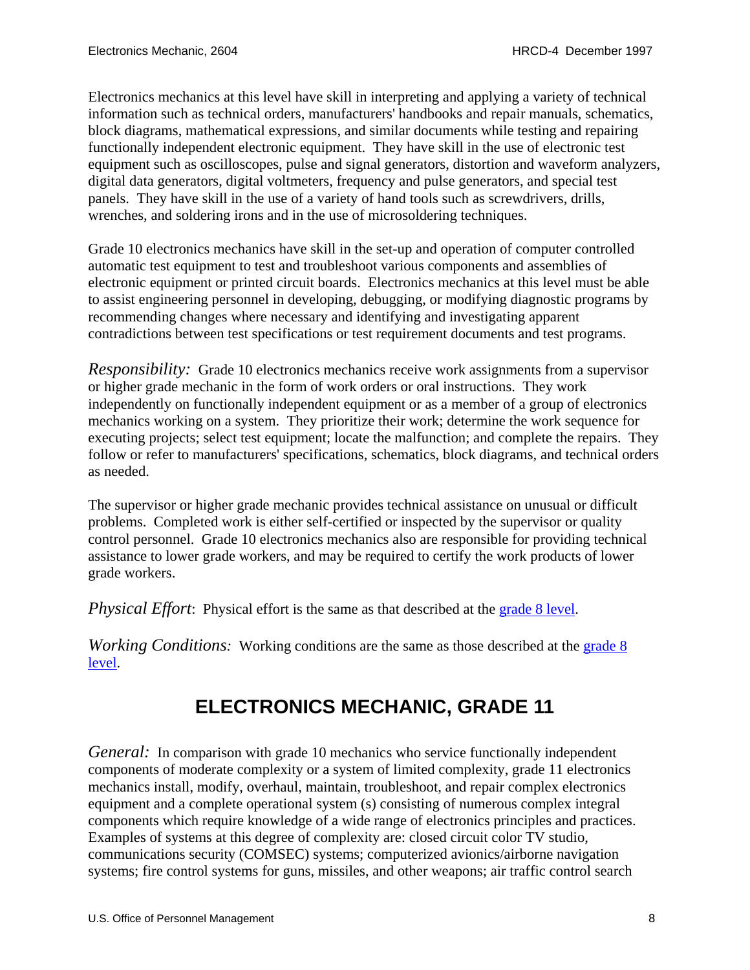<span id="page-7-0"></span>Electronics mechanics at this level have skill in interpreting and applying a variety of technical information such as technical orders, manufacturers' handbooks and repair manuals, schematics, block diagrams, mathematical expressions, and similar documents while testing and repairing functionally independent electronic equipment. They have skill in the use of electronic test equipment such as oscilloscopes, pulse and signal generators, distortion and waveform analyzers, digital data generators, digital voltmeters, frequency and pulse generators, and special test panels. They have skill in the use of a variety of hand tools such as screwdrivers, drills, wrenches, and soldering irons and in the use of microsoldering techniques.

Grade 10 electronics mechanics have skill in the set-up and operation of computer controlled automatic test equipment to test and troubleshoot various components and assemblies of electronic equipment or printed circuit boards. Electronics mechanics at this level must be able to assist engineering personnel in developing, debugging, or modifying diagnostic programs by recommending changes where necessary and identifying and investigating apparent contradictions between test specifications or test requirement documents and test programs.

*Responsibility:* Grade 10 electronics mechanics receive work assignments from a supervisor or higher grade mechanic in the form of work orders or oral instructions. They work independently on functionally independent equipment or as a member of a group of electronics mechanics working on a system. They prioritize their work; determine the work sequence for executing projects; select test equipment; locate the malfunction; and complete the repairs. They follow or refer to manufacturers' specifications, schematics, block diagrams, and technical orders as needed.

The supervisor or higher grade mechanic provides technical assistance on unusual or difficult problems. Completed work is either self-certified or inspected by the supervisor or quality control personnel. Grade 10 electronics mechanics also are responsible for providing technical assistance to lower grade workers, and may be required to certify the work products of lower grade workers.

*Physical Effort*: Physical effort is the same as that described at the [grade 8 level.](#page-4-0)

*Working Conditions:* Working conditions are the same as those described at the grade 8 [level](#page-4-0).

# **ELECTRONICS MECHANIC, GRADE 11**

*General:* In comparison with grade 10 mechanics who service functionally independent components of moderate complexity or a system of limited complexity, grade 11 electronics mechanics install, modify, overhaul, maintain, troubleshoot, and repair complex electronics equipment and a complete operational system (s) consisting of numerous complex integral components which require knowledge of a wide range of electronics principles and practices. Examples of systems at this degree of complexity are: closed circuit color TV studio, communications security (COMSEC) systems; computerized avionics/airborne navigation systems; fire control systems for guns, missiles, and other weapons; air traffic control search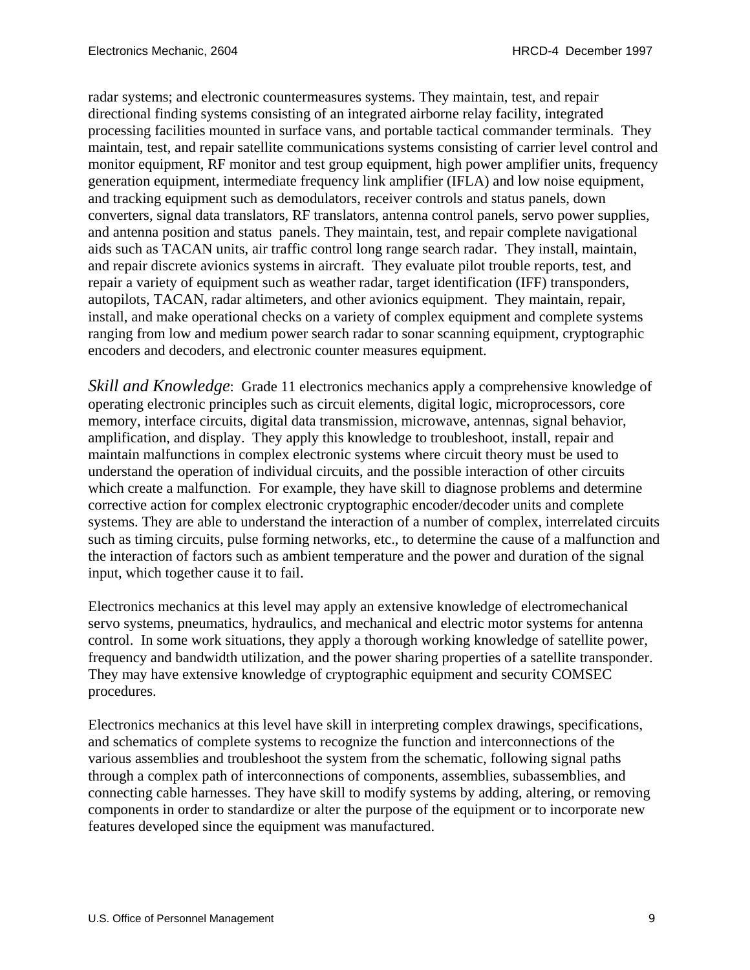radar systems; and electronic countermeasures systems. They maintain, test, and repair directional finding systems consisting of an integrated airborne relay facility, integrated processing facilities mounted in surface vans, and portable tactical commander terminals. They maintain, test, and repair satellite communications systems consisting of carrier level control and monitor equipment, RF monitor and test group equipment, high power amplifier units, frequency generation equipment, intermediate frequency link amplifier (IFLA) and low noise equipment, and tracking equipment such as demodulators, receiver controls and status panels, down converters, signal data translators, RF translators, antenna control panels, servo power supplies, and antenna position and status panels. They maintain, test, and repair complete navigational aids such as TACAN units, air traffic control long range search radar. They install, maintain, and repair discrete avionics systems in aircraft. They evaluate pilot trouble reports, test, and repair a variety of equipment such as weather radar, target identification (IFF) transponders, autopilots, TACAN, radar altimeters, and other avionics equipment. They maintain, repair, install, and make operational checks on a variety of complex equipment and complete systems ranging from low and medium power search radar to sonar scanning equipment, cryptographic encoders and decoders, and electronic counter measures equipment.

*Skill and Knowledge*: Grade 11 electronics mechanics apply a comprehensive knowledge of operating electronic principles such as circuit elements, digital logic, microprocessors, core memory, interface circuits, digital data transmission, microwave, antennas, signal behavior, amplification, and display. They apply this knowledge to troubleshoot, install, repair and maintain malfunctions in complex electronic systems where circuit theory must be used to understand the operation of individual circuits, and the possible interaction of other circuits which create a malfunction. For example, they have skill to diagnose problems and determine corrective action for complex electronic cryptographic encoder/decoder units and complete systems. They are able to understand the interaction of a number of complex, interrelated circuits such as timing circuits, pulse forming networks, etc., to determine the cause of a malfunction and the interaction of factors such as ambient temperature and the power and duration of the signal input, which together cause it to fail.

Electronics mechanics at this level may apply an extensive knowledge of electromechanical servo systems, pneumatics, hydraulics, and mechanical and electric motor systems for antenna control. In some work situations, they apply a thorough working knowledge of satellite power, frequency and bandwidth utilization, and the power sharing properties of a satellite transponder. They may have extensive knowledge of cryptographic equipment and security COMSEC procedures.

Electronics mechanics at this level have skill in interpreting complex drawings, specifications, and schematics of complete systems to recognize the function and interconnections of the various assemblies and troubleshoot the system from the schematic, following signal paths through a complex path of interconnections of components, assemblies, subassemblies, and connecting cable harnesses. They have skill to modify systems by adding, altering, or removing components in order to standardize or alter the purpose of the equipment or to incorporate new features developed since the equipment was manufactured.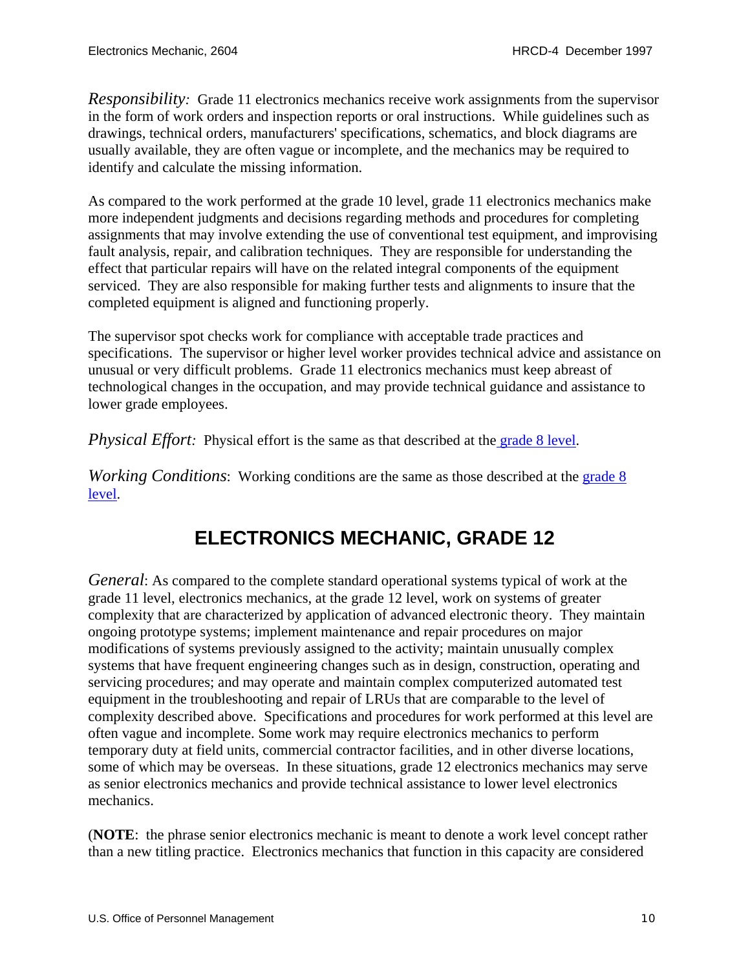<span id="page-9-0"></span>*Responsibility:* Grade 11 electronics mechanics receive work assignments from the supervisor in the form of work orders and inspection reports or oral instructions. While guidelines such as drawings, technical orders, manufacturers' specifications, schematics, and block diagrams are usually available, they are often vague or incomplete, and the mechanics may be required to identify and calculate the missing information.

As compared to the work performed at the grade 10 level, grade 11 electronics mechanics make more independent judgments and decisions regarding methods and procedures for completing assignments that may involve extending the use of conventional test equipment, and improvising fault analysis, repair, and calibration techniques. They are responsible for understanding the effect that particular repairs will have on the related integral components of the equipment serviced. They are also responsible for making further tests and alignments to insure that the completed equipment is aligned and functioning properly.

The supervisor spot checks work for compliance with acceptable trade practices and specifications. The supervisor or higher level worker provides technical advice and assistance on unusual or very difficult problems. Grade 11 electronics mechanics must keep abreast of technological changes in the occupation, and may provide technical guidance and assistance to lower grade employees.

*Physical Effort:* Physical effort is the same as that described at the [grade 8 level](#page-4-0).

*Working Conditions*: Working conditions are the same as those described at the grade 8 [level](#page-4-0).

#### **ELECTRONICS MECHANIC, GRADE 12**

*General*: As compared to the complete standard operational systems typical of work at the grade 11 level, electronics mechanics, at the grade 12 level, work on systems of greater complexity that are characterized by application of advanced electronic theory. They maintain ongoing prototype systems; implement maintenance and repair procedures on major modifications of systems previously assigned to the activity; maintain unusually complex systems that have frequent engineering changes such as in design, construction, operating and servicing procedures; and may operate and maintain complex computerized automated test equipment in the troubleshooting and repair of LRUs that are comparable to the level of complexity described above. Specifications and procedures for work performed at this level are often vague and incomplete. Some work may require electronics mechanics to perform temporary duty at field units, commercial contractor facilities, and in other diverse locations, some of which may be overseas. In these situations, grade 12 electronics mechanics may serve as senior electronics mechanics and provide technical assistance to lower level electronics mechanics.

(**NOTE**: the phrase senior electronics mechanic is meant to denote a work level concept rather than a new titling practice. Electronics mechanics that function in this capacity are considered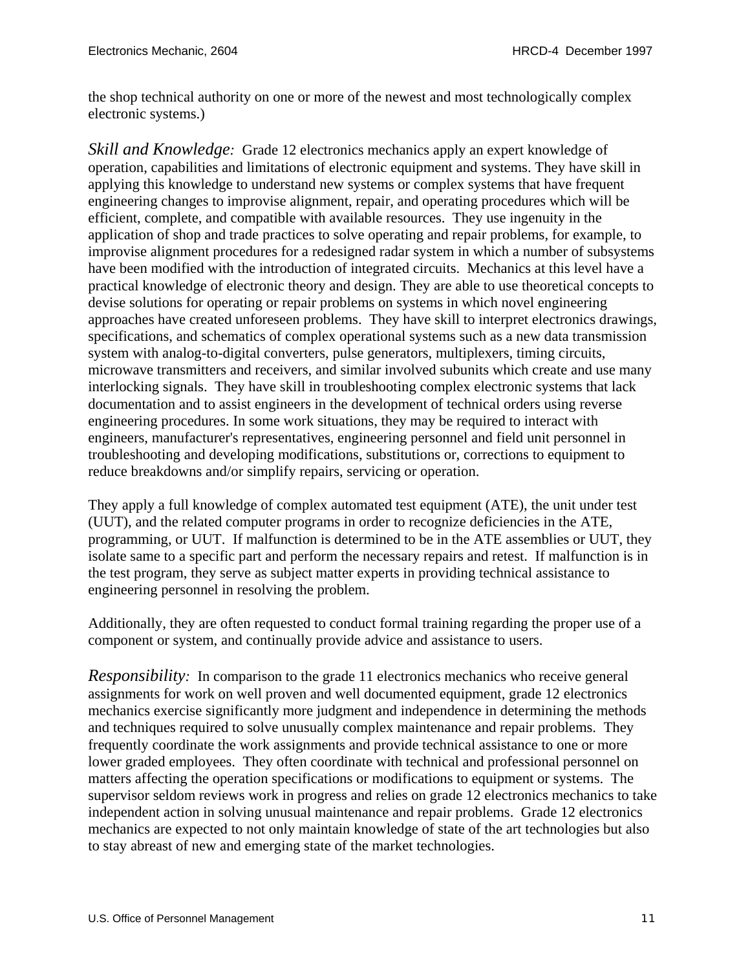the shop technical authority on one or more of the newest and most technologically complex electronic systems.)

*Skill and Knowledge:* Grade 12 electronics mechanics apply an expert knowledge of operation, capabilities and limitations of electronic equipment and systems. They have skill in applying this knowledge to understand new systems or complex systems that have frequent engineering changes to improvise alignment, repair, and operating procedures which will be efficient, complete, and compatible with available resources. They use ingenuity in the application of shop and trade practices to solve operating and repair problems, for example, to improvise alignment procedures for a redesigned radar system in which a number of subsystems have been modified with the introduction of integrated circuits. Mechanics at this level have a practical knowledge of electronic theory and design. They are able to use theoretical concepts to devise solutions for operating or repair problems on systems in which novel engineering approaches have created unforeseen problems. They have skill to interpret electronics drawings, specifications, and schematics of complex operational systems such as a new data transmission system with analog-to-digital converters, pulse generators, multiplexers, timing circuits, microwave transmitters and receivers, and similar involved subunits which create and use many interlocking signals. They have skill in troubleshooting complex electronic systems that lack documentation and to assist engineers in the development of technical orders using reverse engineering procedures. In some work situations, they may be required to interact with engineers, manufacturer's representatives, engineering personnel and field unit personnel in troubleshooting and developing modifications, substitutions or, corrections to equipment to reduce breakdowns and/or simplify repairs, servicing or operation.

They apply a full knowledge of complex automated test equipment (ATE), the unit under test (UUT), and the related computer programs in order to recognize deficiencies in the ATE, programming, or UUT. If malfunction is determined to be in the ATE assemblies or UUT, they isolate same to a specific part and perform the necessary repairs and retest. If malfunction is in the test program, they serve as subject matter experts in providing technical assistance to engineering personnel in resolving the problem.

Additionally, they are often requested to conduct formal training regarding the proper use of a component or system, and continually provide advice and assistance to users.

*Responsibility:* In comparison to the grade 11 electronics mechanics who receive general assignments for work on well proven and well documented equipment, grade 12 electronics mechanics exercise significantly more judgment and independence in determining the methods and techniques required to solve unusually complex maintenance and repair problems. They frequently coordinate the work assignments and provide technical assistance to one or more lower graded employees. They often coordinate with technical and professional personnel on matters affecting the operation specifications or modifications to equipment or systems. The supervisor seldom reviews work in progress and relies on grade 12 electronics mechanics to take independent action in solving unusual maintenance and repair problems. Grade 12 electronics mechanics are expected to not only maintain knowledge of state of the art technologies but also to stay abreast of new and emerging state of the market technologies.